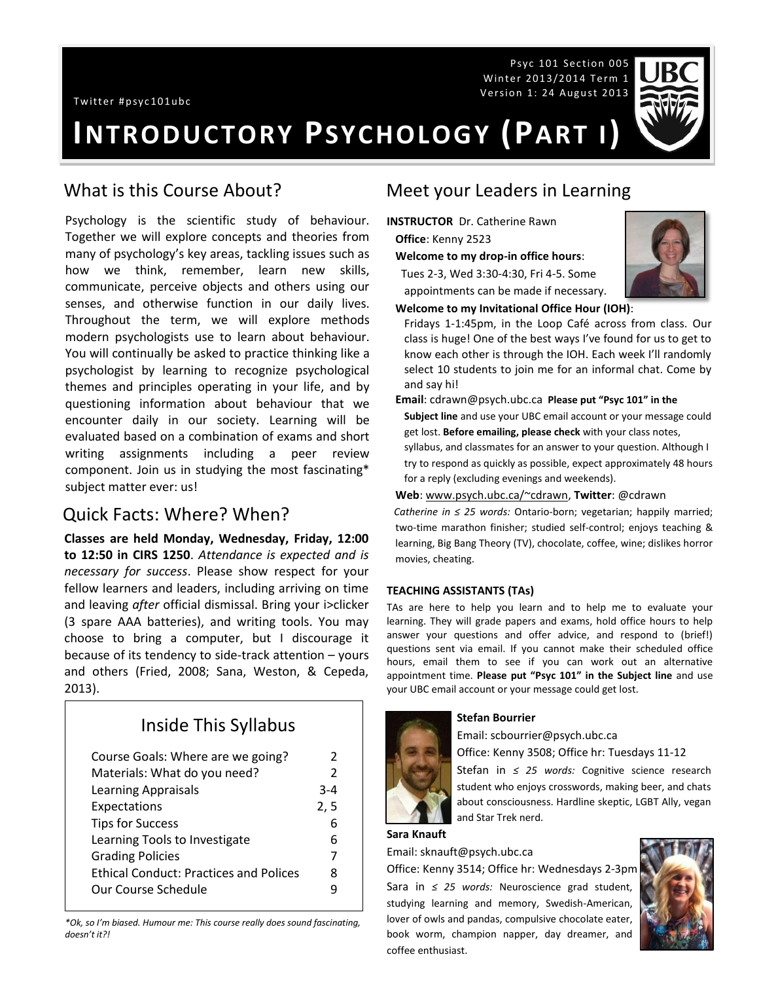Psyc 101 Section 005 Winter 2013/2014 Term 1 Version 1: 24 August 2013



# **INTRODUCTORY PSYCHOLOGY (PART I)**

#### What is this Course About?

Psychology is the scientific study of behaviour. Together we will explore concepts and theories from many of psychology's key areas, tackling issues such as how we think, remember, learn new skills, communicate, perceive objects and others using our senses, and otherwise function in our daily lives. Throughout the term, we will explore methods modern psychologists use to learn about behaviour. You will continually be asked to practice thinking like a psychologist by learning to recognize psychological themes and principles operating in your life, and by questioning information about behaviour that we encounter daily in our society. Learning will be evaluated based on a combination of exams and short writing assignments including a peer review component. Join us in studying the most fascinating\* subject matter ever: us!

#### Quick Facts: Where? When?

**Classes are held Monday, Wednesday, Friday, 12:00 to 12:50 in CIRS 1250**. *Attendance is expected and is necessary for success*. Please show respect for your fellow learners and leaders, including arriving on time and leaving *after* official dismissal. Bring your i>clicker (3 spare AAA batteries), and writing tools. You may choose to bring a computer, but I discourage it because of its tendency to side-track attention – yours and others (Fried, 2008; Sana, Weston, & Cepeda, 2013).

# Inside This Syllabus

| Course Goals: Where are we going?             | $\mathcal{P}$ |
|-----------------------------------------------|---------------|
| Materials: What do you need?                  | $\mathcal{P}$ |
| <b>Learning Appraisals</b>                    | $3 - 4$       |
| Expectations                                  | 2, 5          |
| <b>Tips for Success</b>                       | 6             |
| Learning Tools to Investigate                 | 6             |
| <b>Grading Policies</b>                       | 7             |
| <b>Ethical Conduct: Practices and Polices</b> | 8             |
| Our Course Schedule                           |               |

*\*Ok, so I'm biased. Humour me: This course really does sound fascinating, doesn't it?!*

## Meet your Leaders in Learning

- **INSTRUCTOR** Dr. Catherine Rawn **Office**: Kenny 2523
	- **Welcome to my drop-in office hours**:

 Tues 2-3, Wed 3:30-4:30, Fri 4-5. Some appointments can be made if necessary.



#### **Welcome to my Invitational Office Hour (IOH)**:

Fridays 1-1:45pm, in the Loop Café across from class. Our class is huge! One of the best ways I've found for us to get to know each other is through the IOH. Each week I'll randomly select 10 students to join me for an informal chat. Come by and say hi!

**Email**: cdrawn@psych.ubc.ca **Please put "Psyc 101" in the** 

**Subject line** and use your UBC email account or your message could get lost. **Before emailing, please check** with your class notes,

syllabus, and classmates for an answer to your question. Although I try to respond as quickly as possible, expect approximately 48 hours for a reply (excluding evenings and weekends).

#### **Web**[: www.psych.ubc.ca/~cdrawn,](http://www.psych.ubc.ca/~cdrawn) **Twitter**: @cdrawn

*Catherine in ≤ 25 words:* Ontario-born; vegetarian; happily married; two-time marathon finisher; studied self-control; enjoys teaching & learning, Big Bang Theory (TV), chocolate, coffee, wine; dislikes horror movies, cheating.

#### **TEACHING ASSISTANTS (TAs)**

TAs are here to help you learn and to help me to evaluate your learning. They will grade papers and exams, hold office hours to help answer your questions and offer advice, and respond to (brief!) questions sent via email. If you cannot make their scheduled office hours, email them to see if you can work out an alternative appointment time. **Please put "Psyc 101" in the Subject line** and use your UBC email account or your message could get lost.

#### **Stefan Bourrier**

Email: scbourrier@psych.ubc.ca

Office: Kenny 3508; Office hr: Tuesdays 11-12

Stefan in *≤ 25 words:* Cognitive science research student who enjoys crosswords, making beer, and chats about consciousness. Hardline skeptic, LGBT Ally, vegan and Star Trek nerd.

#### **Sara Knauft**

Email: sknauft@psych.ubc.ca

Office: Kenny 3514; Office hr: Wednesdays 2-3pm

Sara in *≤ 25 words:* Neuroscience grad student, studying learning and memory, Swedish-American, lover of owls and pandas, compulsive chocolate eater, book worm, champion napper, day dreamer, and coffee enthusiast.

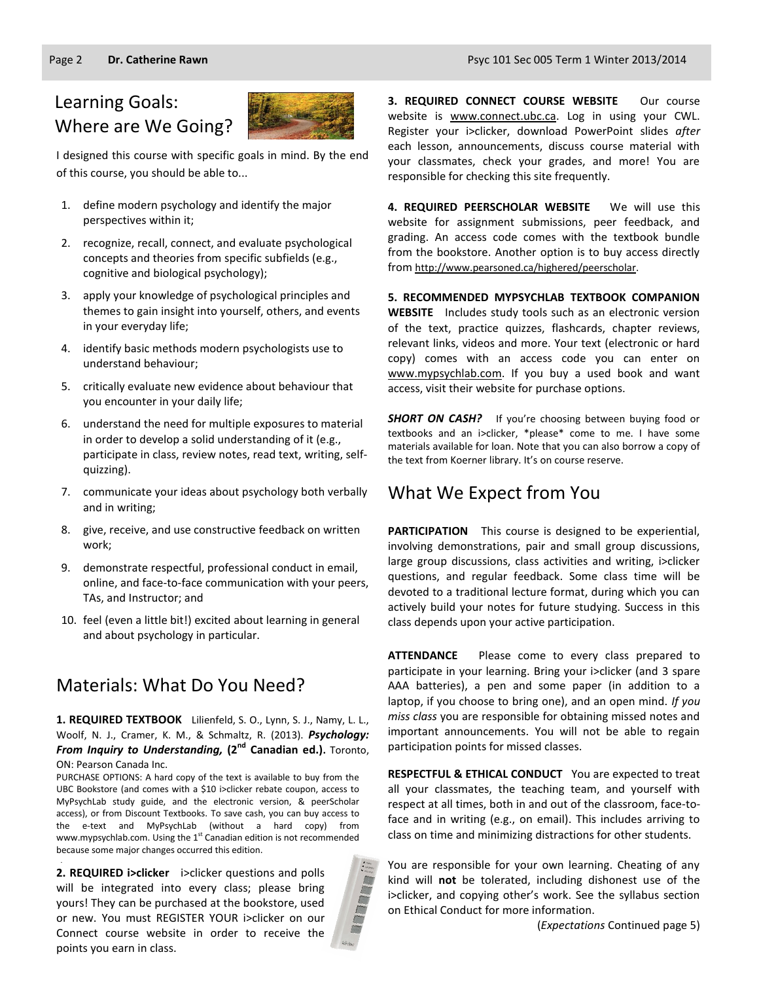# Learning Goals: Where are We Going?



I designed this course with specific goals in mind. By the end of this course, you should be able to...

- 1. define modern psychology and identify the major perspectives within it;
- 2. recognize, recall, connect, and evaluate psychological concepts and theories from specific subfields (e.g., cognitive and biological psychology);
- 3. apply your knowledge of psychological principles and themes to gain insight into yourself, others, and events in your everyday life;
- 4. identify basic methods modern psychologists use to understand behaviour;
- 5. critically evaluate new evidence about behaviour that you encounter in your daily life;
- 6. understand the need for multiple exposures to material in order to develop a solid understanding of it (e.g., participate in class, review notes, read text, writing, selfquizzing).
- 7. communicate your ideas about psychology both verbally and in writing;
- 8. give, receive, and use constructive feedback on written work;
- 9. demonstrate respectful, professional conduct in email, online, and face-to-face communication with your peers, TAs, and Instructor; and
- 10. feel (even a little bit!) excited about learning in general and about psychology in particular.

# Materials: What Do You Need?

**1. REQUIRED TEXTBOOK** Lilienfeld, S. O., Lynn, S. J., Namy, L. L., Woolf, N. J., Cramer, K. M., & Schmaltz, R. (2013). *Psychology:*  **From Inquiry to Understanding, (2<sup>nd</sup> Canadian ed.).** Toronto, ON: Pearson Canada Inc.

PURCHASE OPTIONS: A hard copy of the text is available to buy from the UBC Bookstore (and comes with a \$10 i>clicker rebate coupon, access to MyPsychLab study guide, and the electronic version, & peerScholar access), or from Discount Textbooks. To save cash, you can buy access to the e-text and MyPsychLab (without a hard copy) from www.mypsychlab.com. Using the  $1<sup>st</sup>$  Canadian edition is not recommended because some major changes occurred this edition.

**2. REQUIRED i>clicker** i>clicker questions and polls will be integrated into every class; please bring yours! They can be purchased at the bookstore, used or new. You must REGISTER YOUR i>clicker on our Connect course website in order to receive the points you earn in class.

.



**3. REQUIRED CONNECT COURSE WEBSITE** Our course website is [www.connect.ubc.ca.](http://elearning.ubc.ca/connect/) Log in using your CWL. Register your i>clicker, download PowerPoint slides *after*  each lesson, announcements, discuss course material with your classmates, check your grades, and more! You are responsible for checking this site frequently.

**4. REQUIRED PEERSCHOLAR WEBSITE** We will use this website for assignment submissions, peer feedback, and grading. An access code comes with the textbook bundle from the bookstore. Another option is to buy access directly from [http://www.pearsoned.ca/highered/peerscholar.](http://www.pearsoned.ca/highered/peerscholar)

**5. RECOMMENDED MYPSYCHLAB TEXTBOOK COMPANION WEBSITE** Includes study tools such as an electronic version of the text, practice quizzes, flashcards, chapter reviews, relevant links, videos and more. Your text (electronic or hard copy) comes with an access code you can enter on [www.mypsychlab.com.](http://www.mypsychlab.com/) If you buy a used book and want access, visit their website for purchase options.

**SHORT ON CASH?** If you're choosing between buying food or textbooks and an i>clicker, \*please\* come to me. I have some materials available for loan. Note that you can also borrow a copy of the text from Koerner library. It's on course reserve.

### What We Expect from You

**PARTICIPATION** This course is designed to be experiential, involving demonstrations, pair and small group discussions, large group discussions, class activities and writing, i>clicker questions, and regular feedback. Some class time will be devoted to a traditional lecture format, during which you can actively build your notes for future studying. Success in this class depends upon your active participation.

**ATTENDANCE** Please come to every class prepared to participate in your learning. Bring your i>clicker (and 3 spare AAA batteries), a pen and some paper (in addition to a laptop, if you choose to bring one), and an open mind. *If you miss class* you are responsible for obtaining missed notes and important announcements. You will not be able to regain participation points for missed classes.

**RESPECTFUL & ETHICAL CONDUCT** You are expected to treat all your classmates, the teaching team, and yourself with respect at all times, both in and out of the classroom, face-toface and in writing (e.g., on email). This includes arriving to class on time and minimizing distractions for other students.

You are responsible for your own learning. Cheating of any kind will **not** be tolerated, including dishonest use of the i>clicker, and copying other's work. See the syllabus section on Ethical Conduct for more information.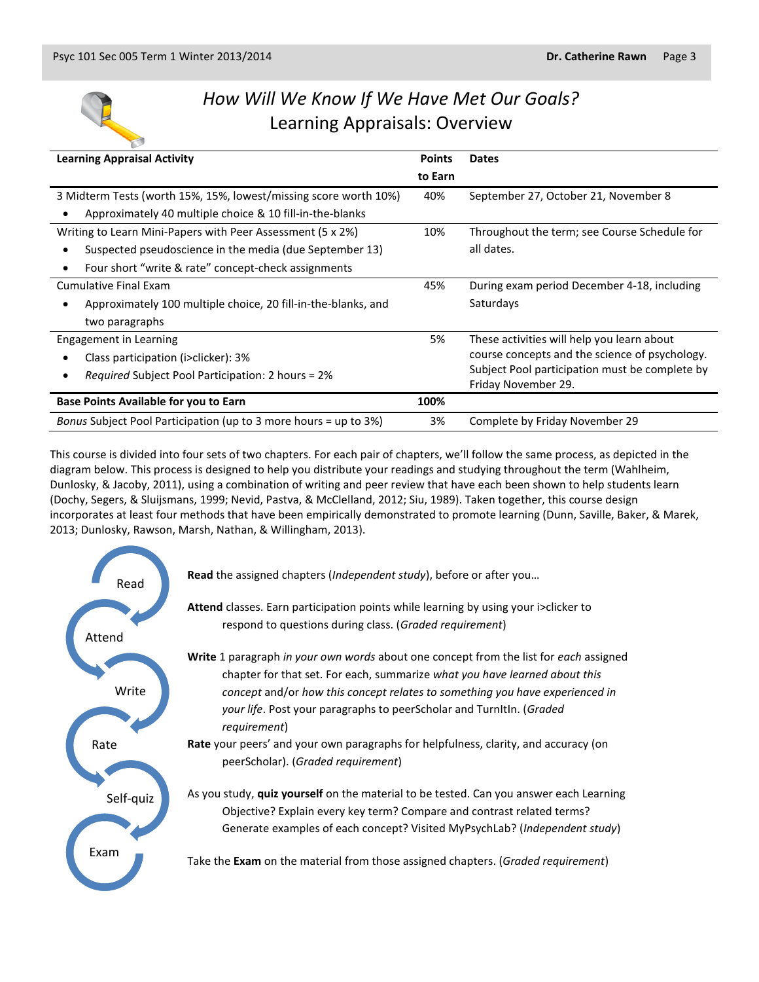

# *How Will We Know If We Have Met Our Goals?* Learning Appraisals: Overview

| <b>Learning Appraisal Activity</b>                                   |         | <b>Dates</b>                                   |
|----------------------------------------------------------------------|---------|------------------------------------------------|
|                                                                      | to Earn |                                                |
| 3 Midterm Tests (worth 15%, 15%, lowest/missing score worth 10%)     | 40%     | September 27, October 21, November 8           |
| Approximately 40 multiple choice & 10 fill-in-the-blanks             |         |                                                |
| Writing to Learn Mini-Papers with Peer Assessment (5 x 2%)           | 10%     | Throughout the term; see Course Schedule for   |
| Suspected pseudoscience in the media (due September 13)<br>$\bullet$ |         | all dates.                                     |
| Four short "write & rate" concept-check assignments<br>٠             |         |                                                |
| <b>Cumulative Final Exam</b>                                         | 45%     | During exam period December 4-18, including    |
| Approximately 100 multiple choice, 20 fill-in-the-blanks, and<br>٠   |         | Saturdays                                      |
| two paragraphs                                                       |         |                                                |
| Engagement in Learning                                               | 5%      | These activities will help you learn about     |
| Class participation (i>clicker): 3%<br>٠                             |         | course concepts and the science of psychology. |
| <i>Required</i> Subject Pool Participation: 2 hours = 2%             |         | Subject Pool participation must be complete by |
|                                                                      |         | Friday November 29.                            |
| <b>Base Points Available for you to Earn</b>                         | 100%    |                                                |
| Bonus Subject Pool Participation (up to 3 more hours = up to 3%)     | 3%      | Complete by Friday November 29                 |

This course is divided into four sets of two chapters. For each pair of chapters, we'll follow the same process, as depicted in the diagram below. This process is designed to help you distribute your readings and studying throughout the term (Wahlheim, Dunlosky, & Jacoby, 2011), using a combination of writing and peer review that have each been shown to help students learn (Dochy, Segers, & Sluijsmans, 1999; Nevid, Pastva, & McClelland, 2012; Siu, 1989). Taken together, this course design incorporates at least four methods that have been empirically demonstrated to promote learning (Dunn, Saville, Baker, & Marek, 2013; Dunlosky, Rawson, Marsh, Nathan, & Willingham, 2013).

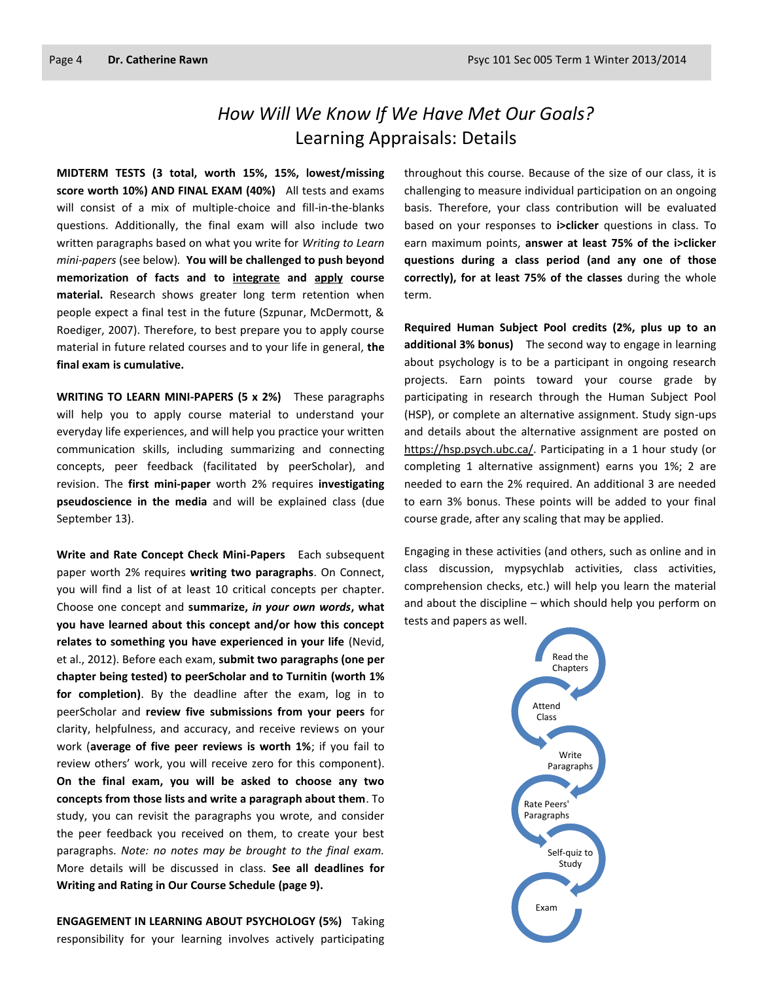# *How Will We Know If We Have Met Our Goals?* Learning Appraisals: Details

**MIDTERM TESTS (3 total, worth 15%, 15%, lowest/missing score worth 10%) AND FINAL EXAM (40%)** All tests and exams will consist of a mix of multiple-choice and fill-in-the-blanks questions. Additionally, the final exam will also include two written paragraphs based on what you write for *Writing to Learn mini-papers* (see below)*.* **You will be challenged to push beyond memorization of facts and to integrate and apply course material.** Research shows greater long term retention when people expect a final test in the future (Szpunar, McDermott, & Roediger, 2007). Therefore, to best prepare you to apply course material in future related courses and to your life in general, **the final exam is cumulative.**

**WRITING TO LEARN MINI-PAPERS (5 x 2%)** These paragraphs will help you to apply course material to understand your everyday life experiences, and will help you practice your written communication skills, including summarizing and connecting concepts, peer feedback (facilitated by peerScholar), and revision. The **first mini-paper** worth 2% requires **investigating pseudoscience in the media** and will be explained class (due September 13).

**Write and Rate Concept Check Mini-Papers** Each subsequent paper worth 2% requires **writing two paragraphs**. On Connect, you will find a list of at least 10 critical concepts per chapter. Choose one concept and **summarize,** *in your own words***, what you have learned about this concept and/or how this concept relates to something you have experienced in your life** (Nevid, et al., 2012). Before each exam, **submit two paragraphs (one per chapter being tested) to peerScholar and to Turnitin (worth 1% for completion)**. By the deadline after the exam, log in to peerScholar and **review five submissions from your peers** for clarity, helpfulness, and accuracy, and receive reviews on your work (**average of five peer reviews is worth 1%**; if you fail to review others' work, you will receive zero for this component). **On the final exam, you will be asked to choose any two concepts from those lists and write a paragraph about them**. To study, you can revisit the paragraphs you wrote, and consider the peer feedback you received on them, to create your best paragraphs. *Note: no notes may be brought to the final exam.* More details will be discussed in class. **See all deadlines for Writing and Rating in Our Course Schedule (page 9).**

**ENGAGEMENT IN LEARNING ABOUT PSYCHOLOGY (5%)** Taking responsibility for your learning involves actively participating

throughout this course. Because of the size of our class, it is challenging to measure individual participation on an ongoing basis. Therefore, your class contribution will be evaluated based on your responses to **i>clicker** questions in class. To earn maximum points, **answer at least 75% of the i>clicker questions during a class period (and any one of those correctly), for at least 75% of the classes** during the whole term.

**Required Human Subject Pool credits (2%, plus up to an additional 3% bonus)** The second way to engage in learning about psychology is to be a participant in ongoing research projects. Earn points toward your course grade by participating in research through the Human Subject Pool (HSP), or complete an alternative assignment. Study sign-ups and details about the alternative assignment are posted on [https://hsp.psych.ubc.ca/.](https://hsp.psych.ubc.ca/) Participating in a 1 hour study (or completing 1 alternative assignment) earns you 1%; 2 are needed to earn the 2% required. An additional 3 are needed to earn 3% bonus. These points will be added to your final course grade, after any scaling that may be applied.

Engaging in these activities (and others, such as online and in class discussion, mypsychlab activities, class activities, comprehension checks, etc.) will help you learn the material and about the discipline – which should help you perform on tests and papers as well.

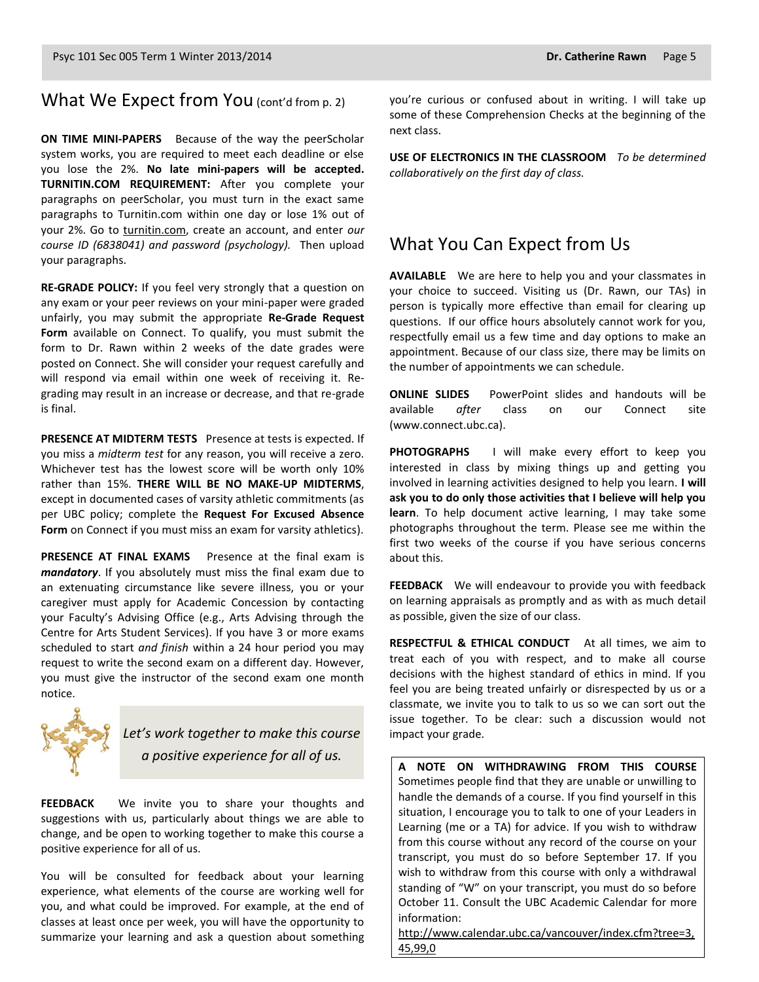#### What We Expect from You (cont'd from p. 2)

**ON TIME MINI-PAPERS** Because of the way the peerScholar system works, you are required to meet each deadline or else you lose the 2%. **No late mini-papers will be accepted. TURNITIN.COM REQUIREMENT:** After you complete your paragraphs on peerScholar, you must turn in the exact same paragraphs to Turnitin.com within one day or lose 1% out of your 2%. Go to [turnitin.com,](http://www.turnitin.com/) create an account, and enter *our course ID (6838041) and password (psychology).* Then upload your paragraphs.

**RE-GRADE POLICY:** If you feel very strongly that a question on any exam or your peer reviews on your mini-paper were graded unfairly, you may submit the appropriate **Re-Grade Request Form** available on Connect. To qualify, you must submit the form to Dr. Rawn within 2 weeks of the date grades were posted on Connect. She will consider your request carefully and will respond via email within one week of receiving it. Regrading may result in an increase or decrease, and that re-grade is final.

**PRESENCE AT MIDTERM TESTS** Presence at tests is expected. If you miss a *midterm test* for any reason, you will receive a zero. Whichever test has the lowest score will be worth only 10% rather than 15%. **THERE WILL BE NO MAKE-UP MIDTERMS**, except in documented cases of varsity athletic commitments (as per UBC policy; complete the **Request For Excused Absence Form** on Connect if you must miss an exam for varsity athletics).

**PRESENCE AT FINAL EXAMS** Presence at the final exam is *mandatory*. If you absolutely must miss the final exam due to an extenuating circumstance like severe illness, you or your caregiver must apply for Academic Concession by contacting your Faculty's Advising Office (e.g., Arts Advising through the Centre for Arts Student Services). If you have 3 or more exams scheduled to start *and finish* within a 24 hour period you may request to write the second exam on a different day. However, you must give the instructor of the second exam one month notice.



*Let's work together to make this course a positive experience for all of us.*

**FEEDBACK** We invite you to share your thoughts and suggestions with us, particularly about things we are able to change, and be open to working together to make this course a positive experience for all of us.

You will be consulted for feedback about your learning experience, what elements of the course are working well for you, and what could be improved. For example, at the end of classes at least once per week, you will have the opportunity to summarize your learning and ask a question about something you're curious or confused about in writing. I will take up some of these Comprehension Checks at the beginning of the next class.

**USE OF ELECTRONICS IN THE CLASSROOM** *To be determined collaboratively on the first day of class.*

#### What You Can Expect from Us

**AVAILABLE** We are here to help you and your classmates in your choice to succeed. Visiting us (Dr. Rawn, our TAs) in person is typically more effective than email for clearing up questions. If our office hours absolutely cannot work for you, respectfully email us a few time and day options to make an appointment. Because of our class size, there may be limits on the number of appointments we can schedule.

**ONLINE SLIDES** PowerPoint slides and handouts will be available *after* class on our Connect site (www.connect.ubc.ca).

**PHOTOGRAPHS** I will make every effort to keep you interested in class by mixing things up and getting you involved in learning activities designed to help you learn. **I will ask you to do only those activities that I believe will help you learn**. To help document active learning, I may take some photographs throughout the term. Please see me within the first two weeks of the course if you have serious concerns about this.

**FEEDBACK** We will endeavour to provide you with feedback on learning appraisals as promptly and as with as much detail as possible, given the size of our class.

**RESPECTFUL & ETHICAL CONDUCT** At all times, we aim to treat each of you with respect, and to make all course decisions with the highest standard of ethics in mind. If you feel you are being treated unfairly or disrespected by us or a classmate, we invite you to talk to us so we can sort out the issue together. To be clear: such a discussion would not impact your grade.

**A NOTE ON WITHDRAWING FROM THIS COURSE**  Sometimes people find that they are unable or unwilling to handle the demands of a course. If you find yourself in this situation, I encourage you to talk to one of your Leaders in Learning (me or a TA) for advice. If you wish to withdraw from this course without any record of the course on your transcript, you must do so before September 17. If you wish to withdraw from this course with only a withdrawal standing of "W" on your transcript, you must do so before October 11. Consult the UBC Academic Calendar for more information:

[http://www.calendar.ubc.ca/vancouver/index.cfm?tree=3,](http://www.calendar.ubc.ca/vancouver/index.cfm?tree=3,45,99,0) [45,99,0](http://www.calendar.ubc.ca/vancouver/index.cfm?tree=3,45,99,0)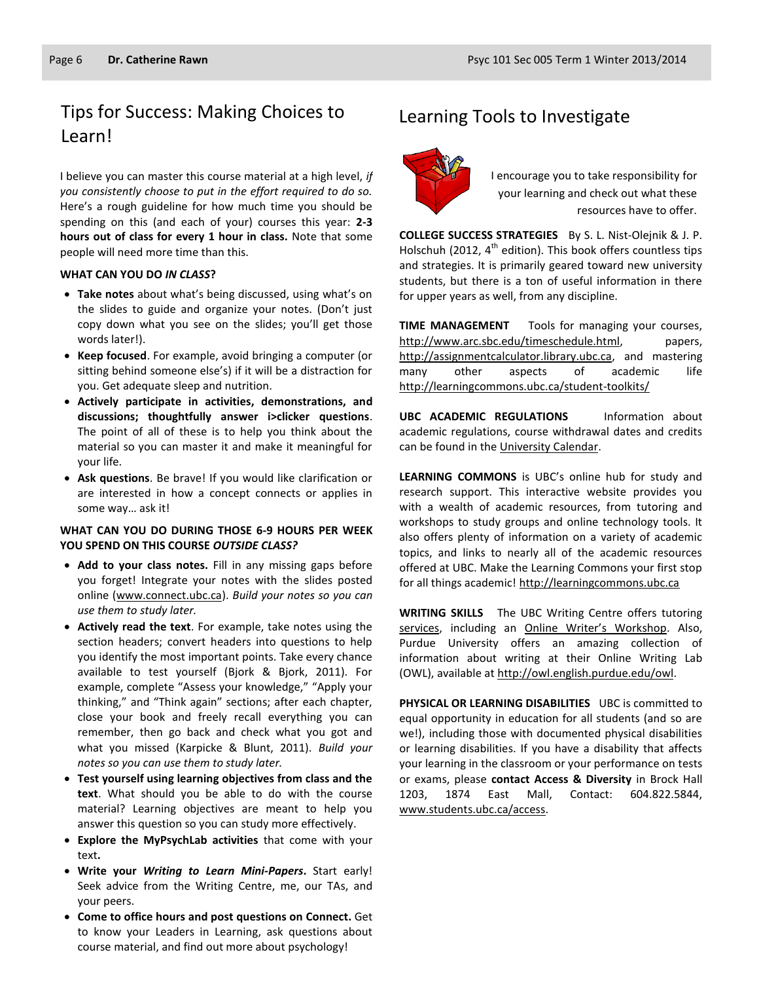# Tips for Success: Making Choices to Learning Tools to Investigate Learn!

I believe you can master this course material at a high level, *if you consistently choose to put in the effort required to do so.* Here's a rough guideline for how much time you should be spending on this (and each of your) courses this year: **2-3 hours out of class for every 1 hour in class.** Note that some people will need more time than this.

#### **WHAT CAN YOU DO** *IN CLASS***?**

- **Take notes** about what's being discussed, using what's on the slides to guide and organize your notes. (Don't just copy down what you see on the slides; you'll get those words later!).
- **Keep focused**. For example, avoid bringing a computer (or sitting behind someone else's) if it will be a distraction for you. Get adequate sleep and nutrition.
- **Actively participate in activities, demonstrations, and discussions; thoughtfully answer i>clicker questions**. The point of all of these is to help you think about the material so you can master it and make it meaningful for your life.
- **Ask questions**. Be brave! If you would like clarification or are interested in how a concept connects or applies in some way… ask it!

#### **WHAT CAN YOU DO DURING THOSE 6-9 HOURS PER WEEK YOU SPEND ON THIS COURSE** *OUTSIDE CLASS?*

- **Add to your class notes.** Fill in any missing gaps before you forget! Integrate your notes with the slides posted online [\(www.connect.ubc.ca\)](http://www.connect.ubc.ca/). *Build your notes so you can use them to study later.*
- **Actively read the text**. For example, take notes using the section headers; convert headers into questions to help you identify the most important points. Take every chance available to test yourself (Bjork & Bjork, 2011). For example, complete "Assess your knowledge," "Apply your thinking," and "Think again" sections; after each chapter, close your book and freely recall everything you can remember, then go back and check what you got and what you missed (Karpicke & Blunt, 2011). *Build your notes so you can use them to study later.*
- **Test yourself using learning objectives from class and the text**. What should you be able to do with the course material? Learning objectives are meant to help you answer this question so you can study more effectively.
- **Explore the MyPsychLab activities** that come with your text**.**
- **Write your** *Writing to Learn Mini-Papers***.** Start early! Seek advice from the Writing Centre, me, our TAs, and your peers.
- **Come to office hours and post questions on Connect.** Get to know your Leaders in Learning, ask questions about course material, and find out more about psychology!



I encourage you to take responsibility for your learning and check out what these resources have to offer.

**COLLEGE SUCCESS STRATEGIES** By S. L. Nist-Olejnik & J. P. Holschuh (2012,  $4^{th}$  edition). This book offers countless tips and strategies. It is primarily geared toward new university students, but there is a ton of useful information in there for upper years as well, from any discipline.

**TIME MANAGEMENT** Tools for managing your courses, [http://www.arc.sbc.edu/timeschedule.html,](http://www.arc.sbc.edu/timeschedule.html) papers, [http://assignmentcalculator.library.ubc.ca,](http://assignmentcalculator.library.ubc.ca/) and mastering many other aspects of academic life <http://learningcommons.ubc.ca/student-toolkits/>

**UBC ACADEMIC REGULATIONS** Information about academic regulations, course withdrawal dates and credits can be found in th[e University Calendar.](http://students.ubc.ca/calendar/academicyear.cfm)

**LEARNING COMMONS** is UBC's online hub for study and research support. This interactive website provides you with a wealth of academic resources, from tutoring and workshops to study groups and online technology tools. It also offers plenty of information on a variety of academic topics, and links to nearly all of the academic resources offered at UBC. Make the Learning Commons your first stop for all things academic! [http://learningcommons.ubc.ca](http://learningcommons.ubc.ca/)

**WRITING SKILLS** The UBC Writing Centre offers tutoring [services,](http://cstudies.ubc.ca/writing/resources.html) including an [Online Writer's Workshop](http://www.writingcentre.ubc.ca/workshop/index.html). Also, Purdue University offers an amazing collection of information about writing at their Online Writing Lab (OWL), available a[t http://owl.english.purdue.edu/owl.](http://owl.english.purdue.edu/owl/)

**PHYSICAL OR LEARNING DISABILITIES** UBC is committed to equal opportunity in education for all students (and so are we!), including those with documented physical disabilities or learning disabilities. If you have a disability that affects your learning in the classroom or your performance on tests or exams, please **contact Access & Diversity** in Brock Hall 1203, 1874 East Mall, Contact: 604.822.5844, [www.students.ubc.ca/access.](http://www.students.ubc.ca/access)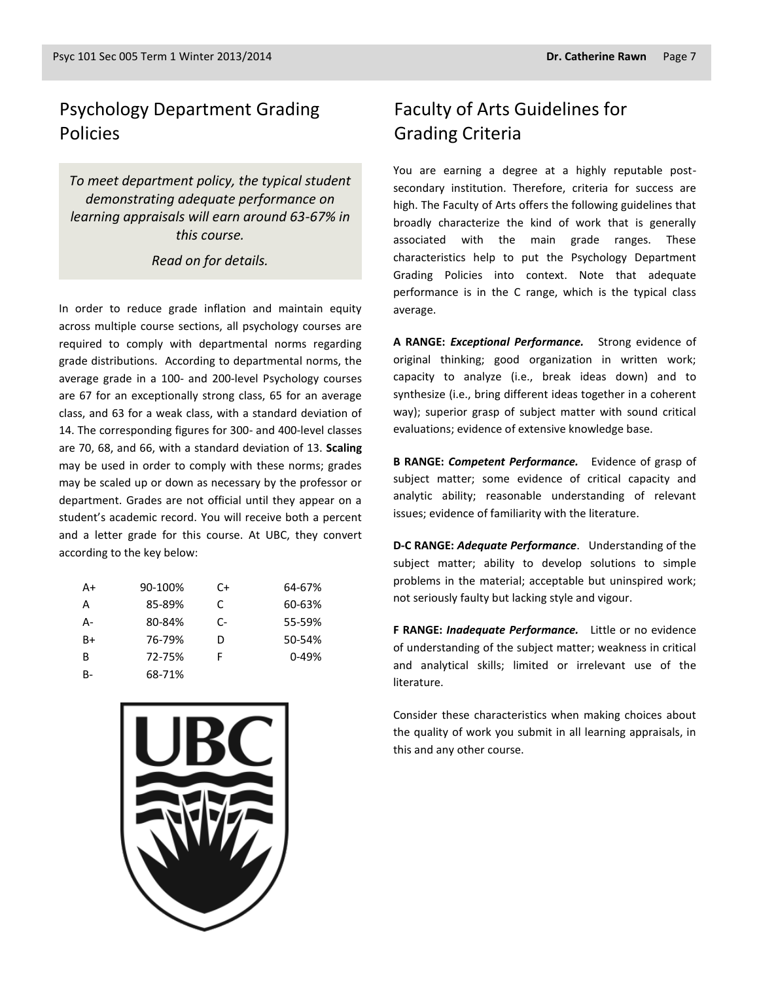# Psychology Department Grading Policies

*To meet department policy, the typical student demonstrating adequate performance on learning appraisals will earn around 63-67% in this course.* 

#### *Read on for details.*

In order to reduce grade inflation and maintain equity across multiple course sections, all psychology courses are required to comply with departmental norms regarding grade distributions. According to departmental norms, the average grade in a 100- and 200-level Psychology courses are 67 for an exceptionally strong class, 65 for an average class, and 63 for a weak class, with a standard deviation of 14. The corresponding figures for 300- and 400-level classes are 70, 68, and 66, with a standard deviation of 13. **Scaling** may be used in order to comply with these norms; grades may be scaled up or down as necessary by the professor or department. Grades are not official until they appear on a student's academic record. You will receive both a percent and a letter grade for this course. At UBC, they convert according to the key below:

| A+   | 90-100% | C+ | 64-67%    |
|------|---------|----|-----------|
| А    | 85-89%  | C. | 60-63%    |
| А-   | 80-84%  | C- | 55-59%    |
| $B+$ | 76-79%  | D  | 50-54%    |
| B    | 72-75%  | F  | $0 - 49%$ |
| B-   | 68-71%  |    |           |



# Faculty of Arts Guidelines for Grading Criteria

You are earning a degree at a highly reputable postsecondary institution. Therefore, criteria for success are high. The Faculty of Arts offers the following guidelines that broadly characterize the kind of work that is generally associated with the main grade ranges. These characteristics help to put the Psychology Department Grading Policies into context. Note that adequate performance is in the C range, which is the typical class average.

**A RANGE:** *Exceptional Performance.* Strong evidence of original thinking; good organization in written work; capacity to analyze (i.e., break ideas down) and to synthesize (i.e., bring different ideas together in a coherent way); superior grasp of subject matter with sound critical evaluations; evidence of extensive knowledge base.

**B RANGE:** *Competent Performance.* Evidence of grasp of subject matter; some evidence of critical capacity and analytic ability; reasonable understanding of relevant issues; evidence of familiarity with the literature.

**D-C RANGE:** *Adequate Performance*. Understanding of the subject matter; ability to develop solutions to simple problems in the material; acceptable but uninspired work; not seriously faulty but lacking style and vigour.

**F RANGE:** *Inadequate Performance.* Little or no evidence of understanding of the subject matter; weakness in critical and analytical skills; limited or irrelevant use of the literature.

Consider these characteristics when making choices about the quality of work you submit in all learning appraisals, in this and any other course.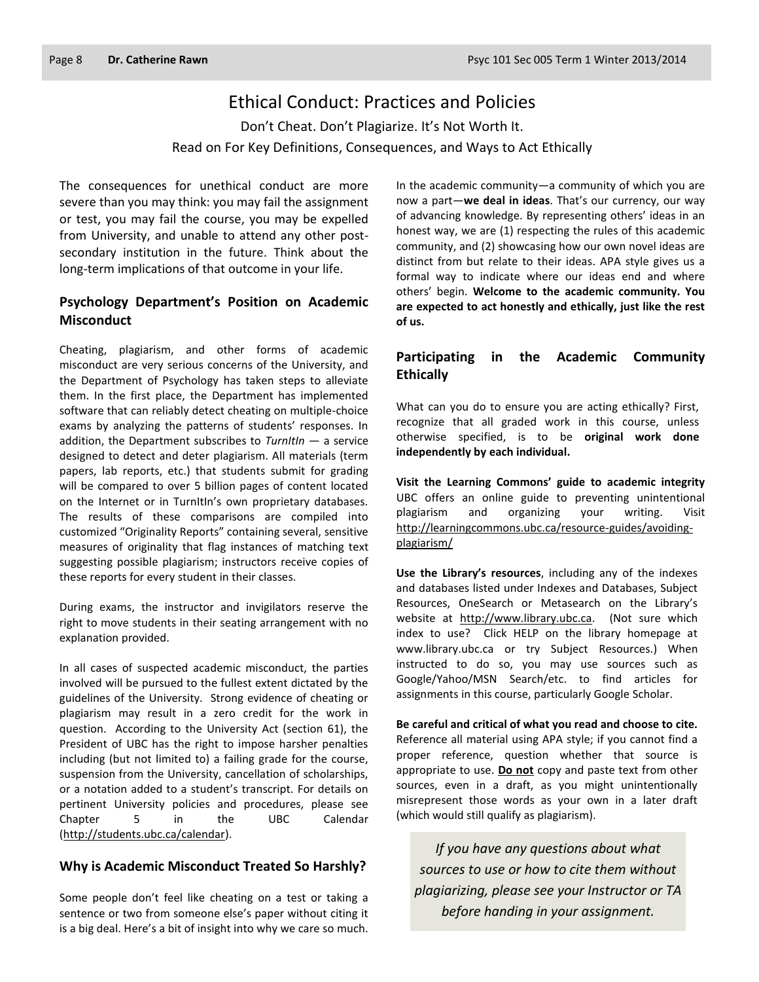#### Ethical Conduct: Practices and Policies

Don't Cheat. Don't Plagiarize. It's Not Worth It. Read on For Key Definitions, Consequences, and Ways to Act Ethically

The consequences for unethical conduct are more severe than you may think: you may fail the assignment or test, you may fail the course, you may be expelled from University, and unable to attend any other postsecondary institution in the future. Think about the long-term implications of that outcome in your life.

#### **Psychology Department's Position on Academic Misconduct**

Cheating, plagiarism, and other forms of academic misconduct are very serious concerns of the University, and the Department of Psychology has taken steps to alleviate them. In the first place, the Department has implemented software that can reliably detect cheating on multiple-choice exams by analyzing the patterns of students' responses. In addition, the Department subscribes to *TurnItIn* — a service designed to detect and deter plagiarism. All materials (term papers, lab reports, etc.) that students submit for grading will be compared to over 5 billion pages of content located on the Internet or in TurnItIn's own proprietary databases. The results of these comparisons are compiled into customized "Originality Reports" containing several, sensitive measures of originality that flag instances of matching text suggesting possible plagiarism; instructors receive copies of these reports for every student in their classes.

During exams, the instructor and invigilators reserve the right to move students in their seating arrangement with no explanation provided.

In all cases of suspected academic misconduct, the parties involved will be pursued to the fullest extent dictated by the guidelines of the University. Strong evidence of cheating or plagiarism may result in a zero credit for the work in question. According to the University Act (section 61), the President of UBC has the right to impose harsher penalties including (but not limited to) a failing grade for the course, suspension from the University, cancellation of scholarships, or a notation added to a student's transcript. For details on pertinent University policies and procedures, please see Chapter 5 in the UBC Calendar [\(http://students.ubc.ca/calendar\)](http://students.ubc.ca/calendar).

#### **Why is Academic Misconduct Treated So Harshly?**

Some people don't feel like cheating on a test or taking a sentence or two from someone else's paper without citing it is a big deal. Here's a bit of insight into why we care so much.

In the academic community—a community of which you are now a part—**we deal in ideas**. That's our currency, our way of advancing knowledge. By representing others' ideas in an honest way, we are (1) respecting the rules of this academic community, and (2) showcasing how our own novel ideas are distinct from but relate to their ideas. APA style gives us a formal way to indicate where our ideas end and where others' begin. **Welcome to the academic community. You are expected to act honestly and ethically, just like the rest of us.**

#### **Participating in the Academic Community Ethically**

What can you do to ensure you are acting ethically? First, recognize that all graded work in this course, unless otherwise specified, is to be **original work done independently by each individual.**

**Visit the Learning Commons' guide to academic integrity**  UBC offers an online guide to preventing unintentional plagiarism and organizing your writing. Visit [http://learningcommons.ubc.ca/resource-guides/avoiding](http://learningcommons.ubc.ca/resource-guides/avoiding-plagiarism/)[plagiarism/](http://learningcommons.ubc.ca/resource-guides/avoiding-plagiarism/)

**Use the Library's resources**, including any of the indexes and databases listed under Indexes and Databases, Subject Resources, OneSearch or Metasearch on the Library's website at [http://www.library.ubc.ca.](http://www.library.ubc.ca/) (Not sure which index to use? Click HELP on the library homepage at www.library.ubc.ca or try Subject Resources.) When instructed to do so, you may use sources such as Google/Yahoo/MSN Search/etc. to find articles for assignments in this course, particularly Google Scholar.

**Be careful and critical of what you read and choose to cite.** Reference all material using APA style; if you cannot find a proper reference, question whether that source is appropriate to use. **Do not** copy and paste text from other sources, even in a draft, as you might unintentionally misrepresent those words as your own in a later draft (which would still qualify as plagiarism).

*If you have any questions about what sources to use or how to cite them without plagiarizing, please see your Instructor or TA before handing in your assignment.*